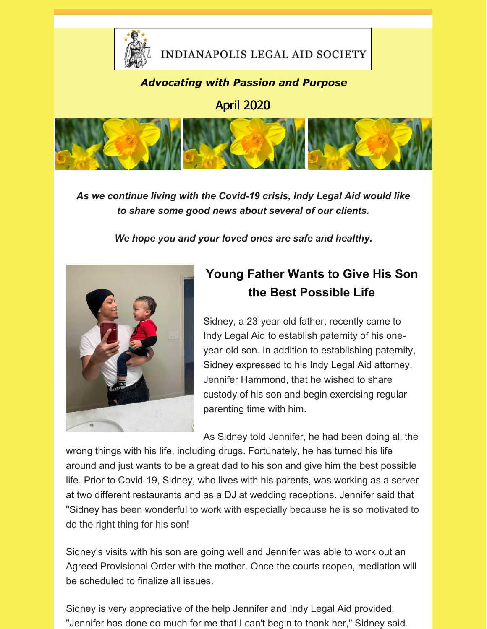

### INDIANAPOLIS LEGAL AID SOCIETY

#### *Advocating with Passion and Purpose*

April 2020



*As we continue living with the Covid-19 crisis, Indy Legal Aid would like to share some good news about several of our clients.*

*We hope you and your loved ones are safe and healthy.*



## **Young Father Wants to Give His Son the Best Possible Life**

Sidney, a 23-year-old father, recently came to Indy Legal Aid to establish paternity of his oneyear-old son. In addition to establishing paternity, Sidney expressed to his Indy Legal Aid attorney, Jennifer Hammond, that he wished to share custody of his son and begin exercising regular parenting time with him.

As Sidney told Jennifer, he had been doing all the

wrong things with his life, including drugs. Fortunately, he has turned his life around and just wants to be a great dad to his son and give him the best possible life. Prior to Covid-19, Sidney, who lives with his parents, was working as a server at two different restaurants and as a DJ at wedding receptions. Jennifer said that "Sidney has been wonderful to work with especially because he is so motivated to do the right thing for his son!

Sidney's visits with his son are going well and Jennifer was able to work out an Agreed Provisional Order with the mother. Once the courts reopen, mediation will be scheduled to finalize all issues.

Sidney is very appreciative of the help Jennifer and Indy Legal Aid provided. "Jennifer has done do much for me that I can't begin to thank her," Sidney said.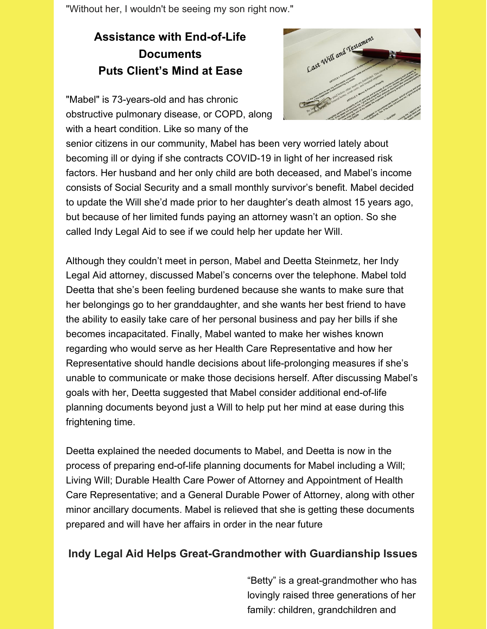"Without her, I wouldn't be seeing my son right now."

### **Assistance with End-of-Life Documents Puts Client's Mind at Ease**

"Mabel" is 73-years-old and has chronic obstructive pulmonary disease, or COPD, along with a heart condition. Like so many of the



senior citizens in our community, Mabel has been very worried lately about becoming ill or dying if she contracts COVID-19 in light of her increased risk factors. Her husband and her only child are both deceased, and Mabel's income consists of Social Security and a small monthly survivor's benefit. Mabel decided to update the Will she'd made prior to her daughter's death almost 15 years ago, but because of her limited funds paying an attorney wasn't an option. So she called Indy Legal Aid to see if we could help her update her Will.

Although they couldn't meet in person, Mabel and Deetta Steinmetz, her Indy Legal Aid attorney, discussed Mabel's concerns over the telephone. Mabel told Deetta that she's been feeling burdened because she wants to make sure that her belongings go to her granddaughter, and she wants her best friend to have the ability to easily take care of her personal business and pay her bills if she becomes incapacitated. Finally, Mabel wanted to make her wishes known regarding who would serve as her Health Care Representative and how her Representative should handle decisions about life-prolonging measures if she's unable to communicate or make those decisions herself. After discussing Mabel's goals with her, Deetta suggested that Mabel consider additional end-of-life planning documents beyond just a Will to help put her mind at ease during this frightening time.

Deetta explained the needed documents to Mabel, and Deetta is now in the process of preparing end-of-life planning documents for Mabel including a Will; Living Will; Durable Health Care Power of Attorney and Appointment of Health Care Representative; and a General Durable Power of Attorney, along with other minor ancillary documents. Mabel is relieved that she is getting these documents prepared and will have her affairs in order in the near future

#### **Indy Legal Aid Helps Great-Grandmother with Guardianship Issues**

"Betty" is a great-grandmother who has lovingly raised three generations of her family: children, grandchildren and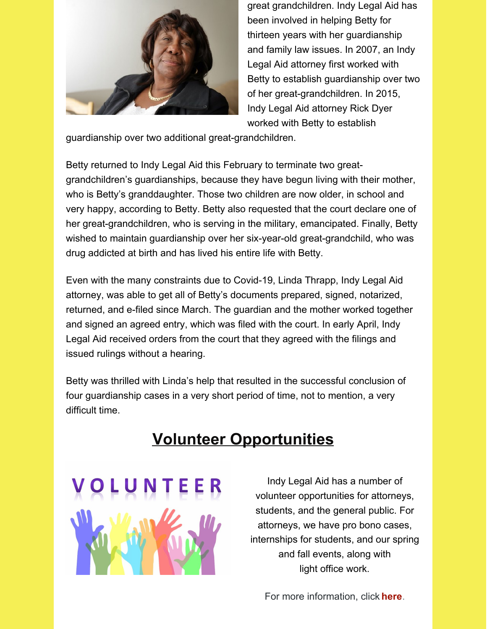

great grandchildren. Indy Legal Aid has been involved in helping Betty for thirteen years with her guardianship and family law issues. In 2007, an Indy Legal Aid attorney first worked with Betty to establish guardianship over two of her great-grandchildren. In 2015, Indy Legal Aid attorney Rick Dyer worked with Betty to establish

guardianship over two additional great-grandchildren.

Betty returned to Indy Legal Aid this February to terminate two greatgrandchildren's guardianships, because they have begun living with their mother, who is Betty's granddaughter. Those two children are now older, in school and very happy, according to Betty. Betty also requested that the court declare one of her great-grandchildren, who is serving in the military, emancipated. Finally, Betty wished to maintain guardianship over her six-year-old great-grandchild, who was drug addicted at birth and has lived his entire life with Betty.

Even with the many constraints due to Covid-19, Linda Thrapp, Indy Legal Aid attorney, was able to get all of Betty's documents prepared, signed, notarized, returned, and e-filed since March. The guardian and the mother worked together and signed an agreed entry, which was filed with the court. In early April, Indy Legal Aid received orders from the court that they agreed with the filings and issued rulings without a hearing.

Betty was thrilled with Linda's help that resulted in the successful conclusion of four guardianship cases in a very short period of time, not to mention, a very difficult time.

# **Volunteer Opportunities**



Indy Legal Aid has a number of volunteer opportunities for attorneys, students, and the general public. For attorneys, we have pro bono cases, internships for students, and our spring and fall events, along with light office work.

For more information, click **[here](https://www.indylas.org/volunteering)**[.](https://www.indylas.org/volunteering)